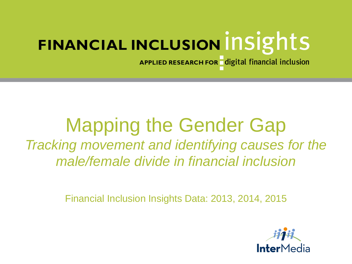APPLIED RESEARCH FOR digital financial inclusion

## Mapping the Gender Gap *Tracking movement and identifying causes for the male/female divide in financial inclusion*

Financial Inclusion Insights Data: 2013, 2014, 2015

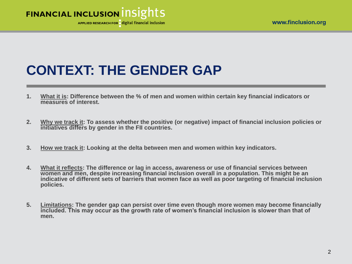

### **CONTEXT: THE GENDER GAP**

- **1. What it is: Difference between the % of men and women within certain key financial indicators or measures of interest.**
- **2. Why we track it: To assess whether the positive (or negative) impact of financial inclusion policies or initiatives differs by gender in the FII countries.**
- **3. How we track it: Looking at the delta between men and women within key indicators.**
- **4. What it reflects: The difference or lag in access, awareness or use of financial services between women and men, despite increasing financial inclusion overall in a population. This might be an indicative of different sets of barriers that women face as well as poor targeting of financial inclusion policies.**
- **5. Limitations: The gender gap can persist over time even though more women may become financially included. This may occur as the growth rate of women's financial inclusion is slower than that of men.**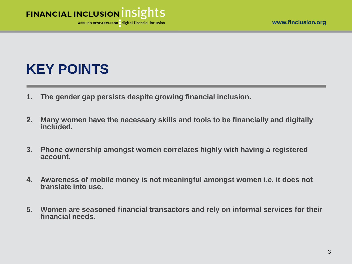

### **KEY POINTS**

- **1. The gender gap persists despite growing financial inclusion.**
- **2. Many women have the necessary skills and tools to be financially and digitally included.**
- **3. Phone ownership amongst women correlates highly with having a registered account.**
- **4. Awareness of mobile money is not meaningful amongst women i.e. it does not translate into use.**
- **5. Women are seasoned financial transactors and rely on informal services for their financial needs.**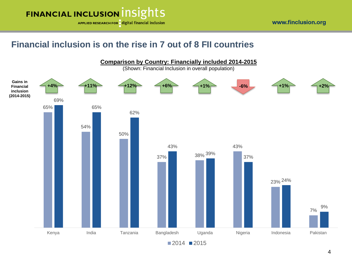APPLIED RESEARCH FOR digital financial inclusion

www.finclusion.org

#### **Financial inclusion is on the rise in 7 out of 8 FII countries**

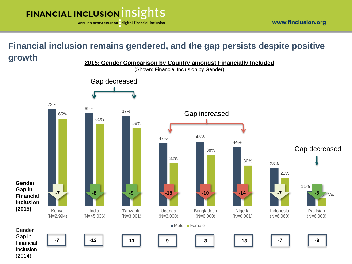APPLIED RESEARCH FOR digital financial inclusion

#### **Financial inclusion remains gendered, and the gap persists despite positive growth 2015: Gender Comparison by Country amongst Financially Included**

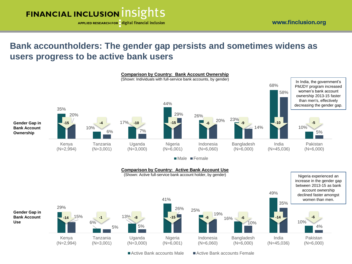APPLIED RESEARCH FOR digital financial inclusion

#### **Bank accountholders: The gender gap persists and sometimes widens as users progress to be active bank users**



■ Active Bank accounts Male ■ Active Bank accounts Female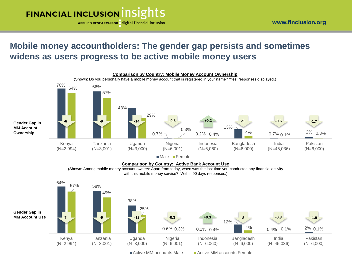APPLIED RESEARCH FOR digital financial inclusion

#### **Mobile money accountholders: The gender gap persists and sometimes widens as users progress to be active mobile money users**



Male Female

#### **Comparison by Country: Active Bank Account Use**

(Shown: Among mobile money account owners: Apart from today, when was the last time you conducted any financial activity with this mobile money service? Within 90 days responses.)

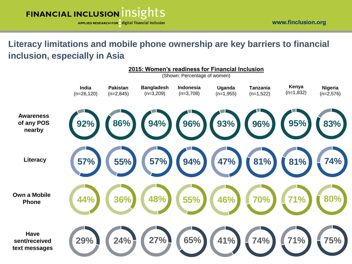#### **Literacy limitations and mobile phone ownership are key barriers to financial inclusion, especially in Asia**

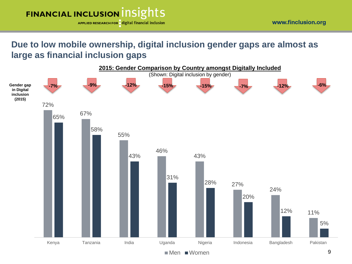#### **Due to low mobile ownership, digital inclusion gender gaps are almost as large as financial inclusion gaps**



Men Women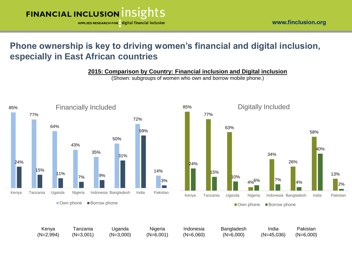Kenya (N=2,994)

Tanzania (N=3,001)

Uganda (N=3,000)

APPLIED RESEARCH FOR digital financial inclusion

India (N=45,036)

Pakistan (N=6,000)

#### **Phone ownership is key to driving women's financial and digital inclusion, especially in East African countries**

**2015: Comparison by Country: Financial inclusion and Digital inclusion** 



Nigeria (N=6,001)

Indonesia (N=6,060) Bangladesh (N=6,000)

(Shown: subgroups of women who own and borrow mobile phone.)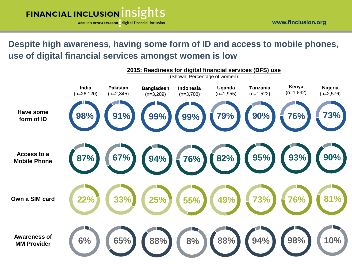APPLIED RESEARCH FOR digital financial inclusion

#### **Despite high awareness, having some form of ID and access to mobile phones, use of digital financial services amongst women is low**

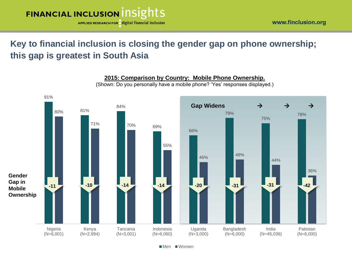#### **Key to financial inclusion is closing the gender gap on phone ownership; this gap is greatest in South Asia**



**2015: Comparison by Country: Mobile Phone Ownership.**

(Shown: Do you personally have a mobile phone? 'Yes' responses displayed.)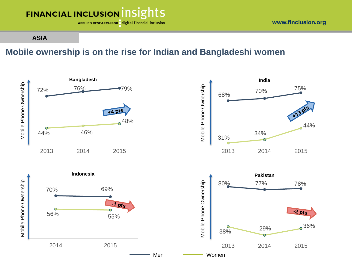APPLIED RESEARCH FOR digital financial inclusion

www.finclusion.org

**ASIA**

#### **Mobile ownership is on the rise for Indian and Bangladeshi women**







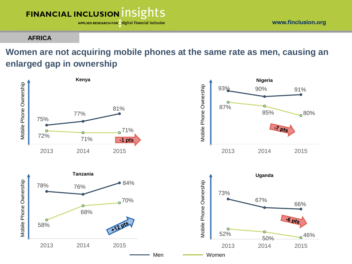APPLIED RESEARCH FOR digital financial inclusion

**AFRICA**

#### **Women are not acquiring mobile phones at the same rate as men, causing an enlarged gap in ownership**







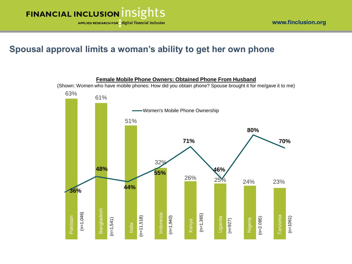

#### **Spousal approval limits a woman's ability to get her own phone**

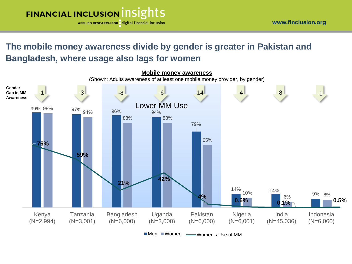#### **The mobile money awareness divide by gender is greater in Pakistan and Bangladesh, where usage also lags for women**

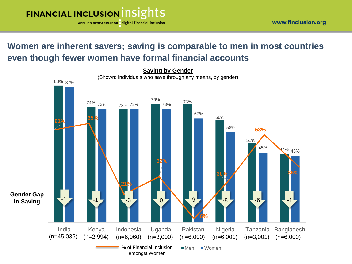#### **Women are inherent savers; saving is comparable to men in most countries even though fewer women have formal financial accounts**

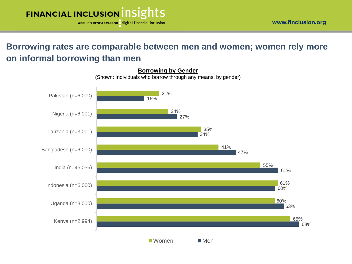#### **Borrowing rates are comparable between men and women; women rely more on informal borrowing than men**

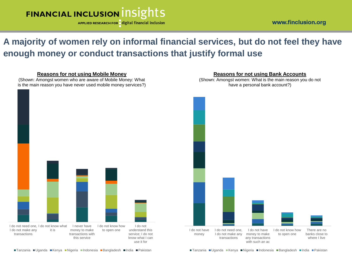APPLIED RESEARCH FOR digital financial inclusion

There are no banks close to where I live

#### **A majority of women rely on informal financial services, but do not feel they have enough money or conduct transactions that justify formal use**



**Reasons for not using Bank Accounts**

(Shown: Amongst women: What is the main reason you do not have a personal bank account?)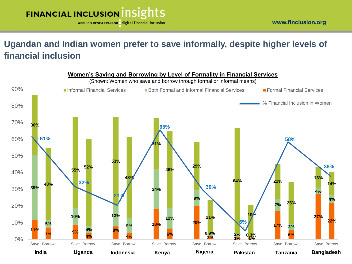#### **Ugandan and Indian women prefer to save informally, despite higher levels of financial inclusion**

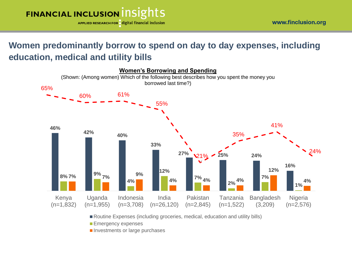#### **Women predominantly borrow to spend on day to day expenses, including education, medical and utility bills**



Routine Expenses (including groceries, medical, education and utility bills)

**Emergency expenses** 

Investments or large purchases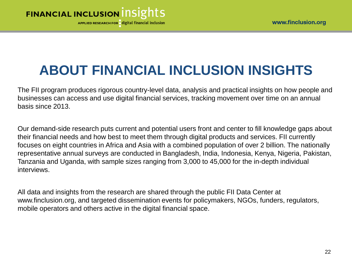

The FII program produces rigorous country-level data, analysis and practical insights on how people and businesses can access and use digital financial services, tracking movement over time on an annual basis since 2013.

Our demand-side research puts current and potential users front and center to fill knowledge gaps about their financial needs and how best to meet them through digital products and services. FII currently focuses on eight countries in Africa and Asia with a combined population of over 2 billion. The nationally representative annual surveys are conducted in Bangladesh, India, Indonesia, Kenya, Nigeria, Pakistan, Tanzania and Uganda, with sample sizes ranging from 3,000 to 45,000 for the in-depth individual interviews.

All data and insights from the research are shared through the public FII Data Center at www.finclusion.org, and targeted dissemination events for policymakers, NGOs, funders, regulators, mobile operators and others active in the digital financial space.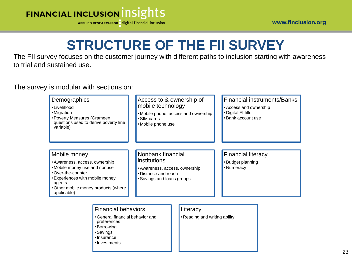

•Savings •Insurance •Investments

APPLIED RESEARCH FOR digital financial inclusion

### **STRUCTURE OF THE FII SURVEY**

The FII survey focuses on the customer journey with different paths to inclusion starting with awareness to trial and sustained use.

The survey is modular with sections on:

| Demographics<br>• Livelihood<br>• Migration<br>• Poverty Measures (Grameen<br>questions used to derive poverty line<br>variable)                                                                          | Access to & ownership of<br>mobile technology<br>• SIM cards<br>• Mobile phone use                                        | • Mobile phone, access and ownership      | <b>Financial instruments/Banks</b><br>• Access and ownership<br>• Digital FI filter<br>• Bank account use |
|-----------------------------------------------------------------------------------------------------------------------------------------------------------------------------------------------------------|---------------------------------------------------------------------------------------------------------------------------|-------------------------------------------|-----------------------------------------------------------------------------------------------------------|
| Mobile money<br>• Awareness, access, ownership<br>• Mobile money use and nonuse<br>• Over-the-counter<br>• Experiences with mobile money<br>agents<br>• Other mobile money products (where<br>applicable) | Nonbank financial<br>institutions<br>• Awareness, access, ownership<br>• Distance and reach<br>• Savings and loans groups |                                           | <b>Financial literacy</b><br>• Budget planning<br>• Numeracy                                              |
| <b>Financial behaviors</b><br>• General financial behavior and<br>preferences<br>• Borrowing                                                                                                              |                                                                                                                           | Literacy<br>• Reading and writing ability |                                                                                                           |